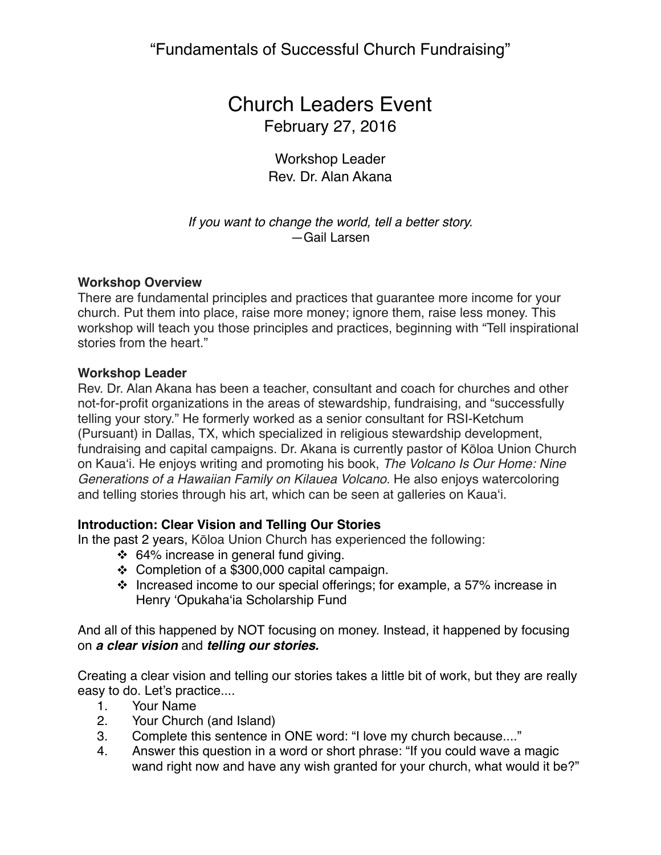# Church Leaders Event February 27, 2016

Workshop Leader Rev. Dr. Alan Akana

*If you want to change the world, tell a better story.* —Gail Larsen

#### **Workshop Overview**

There are fundamental principles and practices that guarantee more income for your church. Put them into place, raise more money; ignore them, raise less money. This workshop will teach you those principles and practices, beginning with "Tell inspirational stories from the heart."

#### **Workshop Leader**

Rev. Dr. Alan Akana has been a teacher, consultant and coach for churches and other not-for-profit organizations in the areas of stewardship, fundraising, and "successfully telling your story." He formerly worked as a senior consultant for RSI-Ketchum (Pursuant) in Dallas, TX, which specialized in religious stewardship development, fundraising and capital campaigns. Dr. Akana is currently pastor of Kōloa Union Church on Kaua'i. He enjoys writing and promoting his book, *The Volcano Is Our Home: Nine Generations of a Hawaiian Family on Kilauea Volcano*. He also enjoys watercoloring and telling stories through his art, which can be seen at galleries on Kaua'i.

### **Introduction: Clear Vision and Telling Our Stories**

In the past 2 years, Kōloa Union Church has experienced the following:

- $\div$  64% increase in general fund giving.
- $\div$  Completion of a \$300,000 capital campaign.
- $\cdot$  Increased income to our special offerings; for example, a 57% increase in Henry 'Opukaha'ia Scholarship Fund

And all of this happened by NOT focusing on money. Instead, it happened by focusing on *a clear vision* and *telling our stories.*

Creating a clear vision and telling our stories takes a little bit of work, but they are really easy to do. Let's practice....

- 1. Your Name
- 2. Your Church (and Island)
- 3. Complete this sentence in ONE word: "I love my church because...."
- 4. Answer this question in a word or short phrase: "If you could wave a magic wand right now and have any wish granted for your church, what would it be?"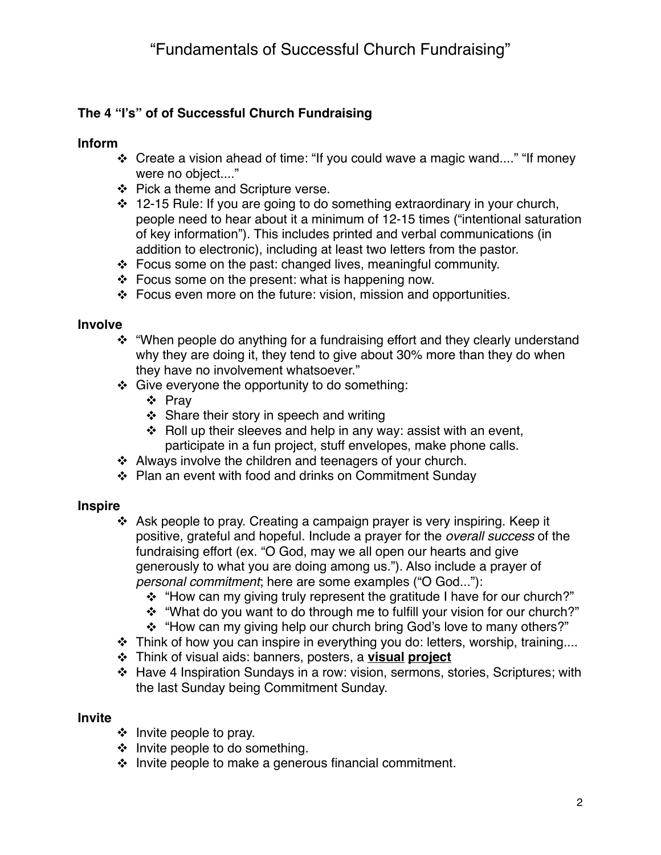## **The 4 "I's" of of Successful Church Fundraising**

## **Inform**

- $\div$  Create a vision ahead of time: "If you could wave a magic wand...." "If money were no object...."
- $\div$  Pick a theme and Scripture verse.
- $\div$  12-15 Rule: If you are going to do something extraordinary in your church, people need to hear about it a minimum of 12-15 times ("intentional saturation of key information"). This includes printed and verbal communications (in addition to electronic), including at least two letters from the pastor.
- $\div$  Focus some on the past: changed lives, meaningful community.
- $\div$  Focus some on the present: what is happening now.
- $\cdot$  Focus even more on the future: vision, mission and opportunities.

### **Involve**

- "When people do anything for a fundraising effort and they clearly understand why they are doing it, they tend to give about 30% more than they do when they have no involvement whatsoever."
- $\div$  Give everyone the opportunity to do something:
	- v Pray
	- $\div$  Share their story in speech and writing
	- $\div$  Roll up their sleeves and help in any way: assist with an event, participate in a fun project, stuff envelopes, make phone calls.
- $\div$  Always involve the children and teenagers of your church.
- v Plan an event with food and drinks on Commitment Sunday

### **Inspire**

- $\cdot$  Ask people to pray. Creating a campaign prayer is very inspiring. Keep it positive, grateful and hopeful. Include a prayer for the *overall success* of the fundraising effort (ex. "O God, may we all open our hearts and give generously to what you are doing among us."). Also include a prayer of *personal commitment*; here are some examples ("O God..."):
	- \* "How can my giving truly represent the gratitude I have for our church?"
	- \* "What do you want to do through me to fulfill your vision for our church?"
	- \* "How can my giving help our church bring God's love to many others?"
- $\cdot$  Think of how you can inspire in everything you do: letters, worship, training....
- v Think of visual aids: banners, posters, a **visual project**
- v Have 4 Inspiration Sundays in a row: vision, sermons, stories, Scriptures; with the last Sunday being Commitment Sunday.

### **Invite**

- $\div$  Invite people to pray.
- $\div$  Invite people to do something.
- $\div$  Invite people to make a generous financial commitment.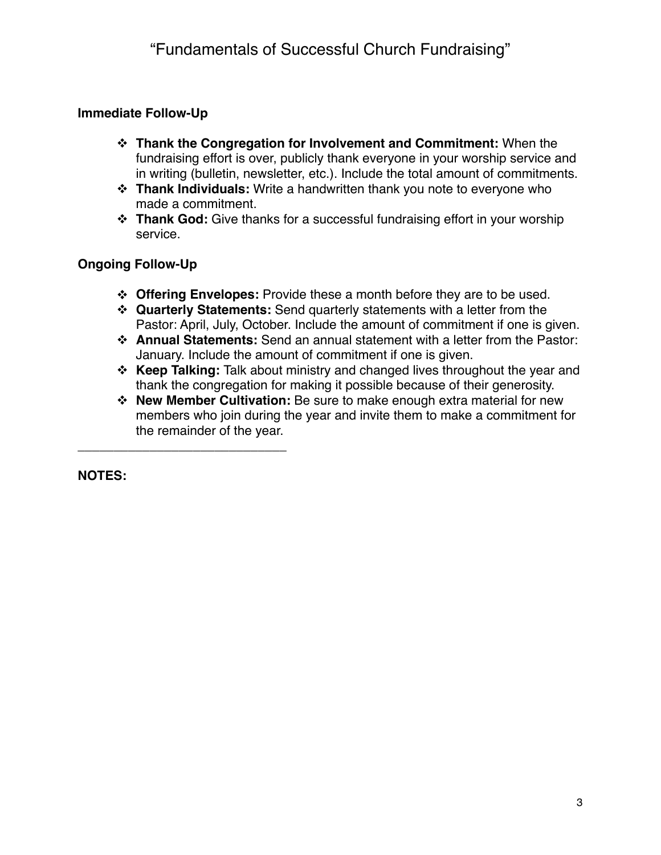## **Immediate Follow-Up**

- v **Thank the Congregation for Involvement and Commitment:** When the fundraising effort is over, publicly thank everyone in your worship service and in writing (bulletin, newsletter, etc.). Include the total amount of commitments.
- **<b>Thank Individuals:** Write a handwritten thank you note to everyone who made a commitment.
- **<sup>◆</sup> Thank God:** Give thanks for a successful fundraising effort in your worship service.

## **Ongoing Follow-Up**

**\_\_\_\_\_\_\_\_\_\_\_\_\_\_\_\_\_\_\_\_\_\_\_\_\_\_\_\_\_**

- v **Offering Envelopes:** Provide these a month before they are to be used.
- v **Quarterly Statements:** Send quarterly statements with a letter from the Pastor: April, July, October. Include the amount of commitment if one is given.
- v **Annual Statements:** Send an annual statement with a letter from the Pastor: January. Include the amount of commitment if one is given.
- v **Keep Talking:** Talk about ministry and changed lives throughout the year and thank the congregation for making it possible because of their generosity.
- v **New Member Cultivation:** Be sure to make enough extra material for new members who join during the year and invite them to make a commitment for the remainder of the year.

**NOTES:**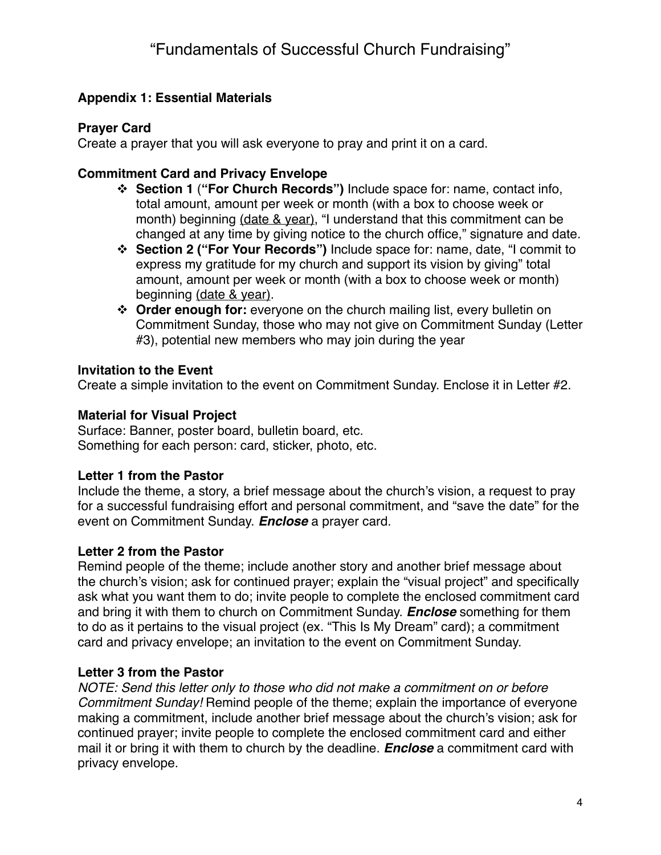## **Appendix 1: Essential Materials**

## **Prayer Card**

Create a prayer that you will ask everyone to pray and print it on a card.

## **Commitment Card and Privacy Envelope**

- v **Section 1** (**"For Church Records")** Include space for: name, contact info, total amount, amount per week or month (with a box to choose week or month) beginning (date & year), "I understand that this commitment can be changed at any time by giving notice to the church office," signature and date.
- v **Section 2 ("For Your Records")** Include space for: name, date, "I commit to express my gratitude for my church and support its vision by giving" total amount, amount per week or month (with a box to choose week or month) beginning (date & year).
- **↓ Order enough for:** everyone on the church mailing list, every bulletin on Commitment Sunday, those who may not give on Commitment Sunday (Letter #3), potential new members who may join during the year

## **Invitation to the Event**

Create a simple invitation to the event on Commitment Sunday. Enclose it in Letter #2.

## **Material for Visual Project**

Surface: Banner, poster board, bulletin board, etc. Something for each person: card, sticker, photo, etc.

## **Letter 1 from the Pastor**

Include the theme, a story, a brief message about the church's vision, a request to pray for a successful fundraising effort and personal commitment, and "save the date" for the event on Commitment Sunday. *Enclose* a prayer card.

## **Letter 2 from the Pastor**

Remind people of the theme; include another story and another brief message about the church's vision; ask for continued prayer; explain the "visual project" and specifically ask what you want them to do; invite people to complete the enclosed commitment card and bring it with them to church on Commitment Sunday. *Enclose* something for them to do as it pertains to the visual project (ex. "This Is My Dream" card); a commitment card and privacy envelope; an invitation to the event on Commitment Sunday.

## **Letter 3 from the Pastor**

*NOTE: Send this letter only to those who did not make a commitment on or before Commitment Sunday!* Remind people of the theme; explain the importance of everyone making a commitment, include another brief message about the church's vision; ask for continued prayer; invite people to complete the enclosed commitment card and either mail it or bring it with them to church by the deadline. *Enclose* a commitment card with privacy envelope.